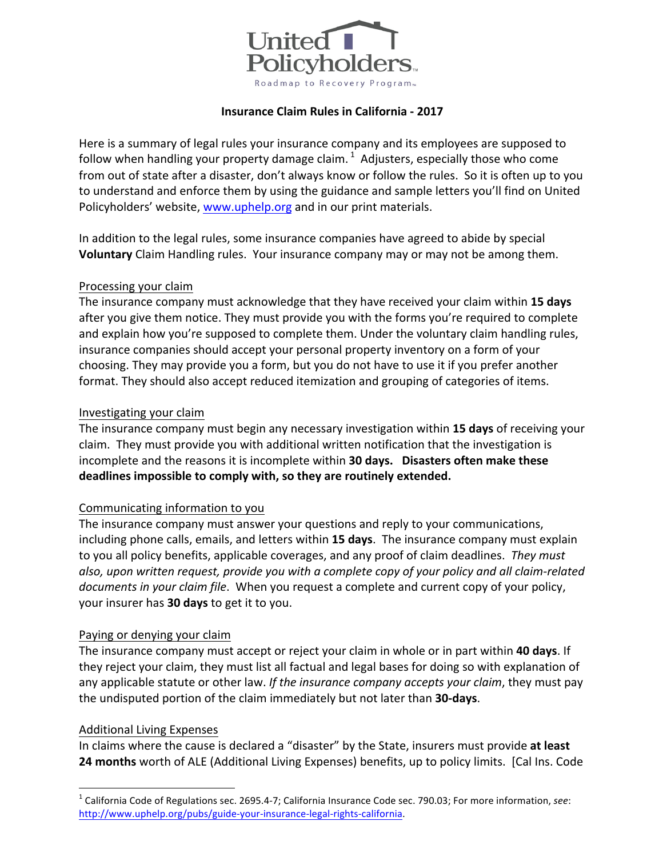

## **Insurance Claim Rules in California - 2017**

Here is a summary of legal rules your insurance company and its employees are supposed to follow when handling your property damage claim.  $1$  Adjusters, especially those who come from out of state after a disaster, don't always know or follow the rules. So it is often up to you to understand and enforce them by using the guidance and sample letters you'll find on United Policyholders' website, www.uphelp.org and in our print materials.

In addition to the legal rules, some insurance companies have agreed to abide by special **Voluntary** Claim Handling rules. Your insurance company may or may not be among them.

#### Processing your claim

The insurance company must acknowledge that they have received your claim within 15 days after you give them notice. They must provide you with the forms you're required to complete and explain how you're supposed to complete them. Under the voluntary claim handling rules, insurance companies should accept your personal property inventory on a form of your choosing. They may provide you a form, but you do not have to use it if you prefer another format. They should also accept reduced itemization and grouping of categories of items.

#### Investigating your claim

The insurance company must begin any necessary investigation within 15 days of receiving your claim. They must provide you with additional written notification that the investigation is incomplete and the reasons it is incomplete within **30 days.** Disasters often make these deadlines impossible to comply with, so they are routinely extended.

## Communicating information to you

The insurance company must answer your questions and reply to your communications, including phone calls, emails, and letters within 15 days. The insurance company must explain to you all policy benefits, applicable coverages, and any proof of claim deadlines. *They must* also, upon written request, provide you with a complete copy of your policy and all claim-related *documents in your claim file.* When you request a complete and current copy of your policy, your insurer has **30 days** to get it to you.

#### Paying or denying your claim

The insurance company must accept or reject your claim in whole or in part within 40 days. If they reject your claim, they must list all factual and legal bases for doing so with explanation of any applicable statute or other law. If the insurance company accepts your claim, they must pay the undisputed portion of the claim immediately but not later than 30-days.

## Additional Living Expenses

In claims where the cause is declared a "disaster" by the State, insurers must provide at least **24 months** worth of ALE (Additional Living Expenses) benefits, up to policy limits. [Cal Ins. Code

<sup>&</sup>lt;sup>1</sup> California Code of Regulations sec. 2695.4-7; California Insurance Code sec. 790.03; For more information, see: http://www.uphelp.org/pubs/guide-your-insurance-legal-rights-california.